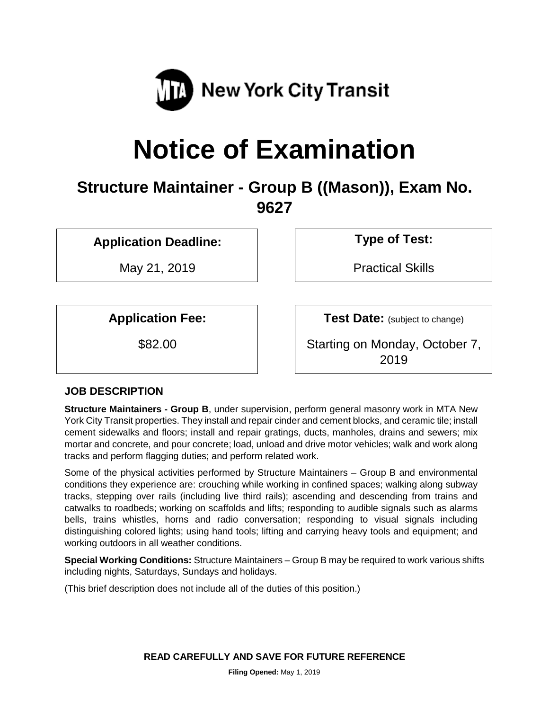

# **Notice of Examination**

# **Structure Maintainer - Group B ((Mason)), Exam No. 9627**

# **Application Deadline: Type of Test:**

May 21, 2019 **Practical Skills** 

**Application Fee: Test Date:** (subject to change)

\$82.00 Starting on Monday, October 7, 2019

# **JOB DESCRIPTION**

**Structure Maintainers - Group B**, under supervision, perform general masonry work in MTA New York City Transit properties. They install and repair cinder and cement blocks, and ceramic tile; install cement sidewalks and floors; install and repair gratings, ducts, manholes, drains and sewers; mix mortar and concrete, and pour concrete; load, unload and drive motor vehicles; walk and work along tracks and perform flagging duties; and perform related work.

Some of the physical activities performed by Structure Maintainers – Group B and environmental conditions they experience are: crouching while working in confined spaces; walking along subway tracks, stepping over rails (including live third rails); ascending and descending from trains and catwalks to roadbeds; working on scaffolds and lifts; responding to audible signals such as alarms bells, trains whistles, horns and radio conversation; responding to visual signals including distinguishing colored lights; using hand tools; lifting and carrying heavy tools and equipment; and working outdoors in all weather conditions.

**Special Working Conditions:** Structure Maintainers – Group B may be required to work various shifts including nights, Saturdays, Sundays and holidays.

(This brief description does not include all of the duties of this position.)

**READ CAREFULLY AND SAVE FOR FUTURE REFERENCE**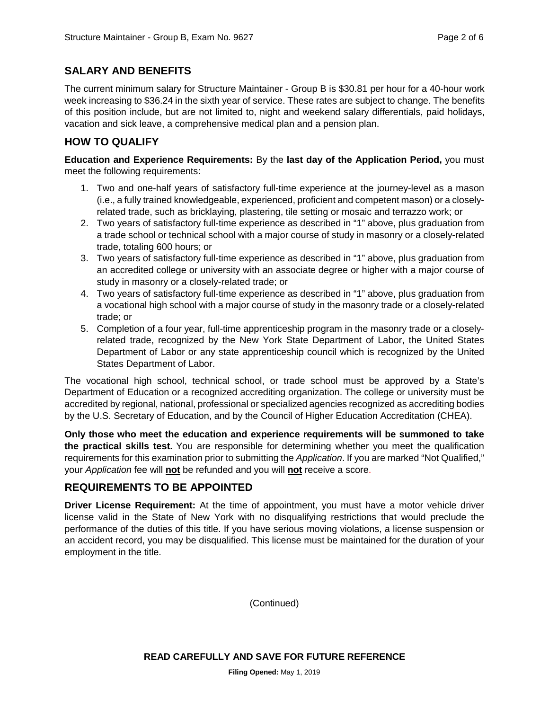### **SALARY AND BENEFITS**

The current minimum salary for Structure Maintainer - Group B is \$30.81 per hour for a 40-hour work week increasing to \$36.24 in the sixth year of service. These rates are subject to change. The benefits of this position include, but are not limited to, night and weekend salary differentials, paid holidays, vacation and sick leave, a comprehensive medical plan and a pension plan.

### **HOW TO QUALIFY**

**Education and Experience Requirements:** By the **last day of the Application Period,** you must meet the following requirements:

- 1. Two and one-half years of satisfactory full-time experience at the journey-level as a mason (i.e., a fully trained knowledgeable, experienced, proficient and competent mason) or a closelyrelated trade, such as bricklaying, plastering, tile setting or mosaic and terrazzo work; or
- 2. Two years of satisfactory full-time experience as described in "1" above, plus graduation from a trade school or technical school with a major course of study in masonry or a closely-related trade, totaling 600 hours; or
- 3. Two years of satisfactory full-time experience as described in "1" above, plus graduation from an accredited college or university with an associate degree or higher with a major course of study in masonry or a closely-related trade; or
- 4. Two years of satisfactory full-time experience as described in "1" above, plus graduation from a vocational high school with a major course of study in the masonry trade or a closely-related trade; or
- 5. Completion of a four year, full-time apprenticeship program in the masonry trade or a closelyrelated trade, recognized by the New York State Department of Labor, the United States Department of Labor or any state apprenticeship council which is recognized by the United States Department of Labor.

The vocational high school, technical school, or trade school must be approved by a State's Department of Education or a recognized accrediting organization. The college or university must be accredited by regional, national, professional or specialized agencies recognized as accrediting bodies by the U.S. Secretary of Education, and by the Council of Higher Education Accreditation (CHEA).

**Only those who meet the education and experience requirements will be summoned to take the practical skills test.** You are responsible for determining whether you meet the qualification requirements for this examination prior to submitting the *Application*. If you are marked "Not Qualified," your *Application* fee will **not** be refunded and you will **not** receive a score.

# **REQUIREMENTS TO BE APPOINTED**

**Driver License Requirement:** At the time of appointment, you must have a motor vehicle driver license valid in the State of New York with no disqualifying restrictions that would preclude the performance of the duties of this title. If you have serious moving violations, a license suspension or an accident record, you may be disqualified. This license must be maintained for the duration of your employment in the title.

(Continued)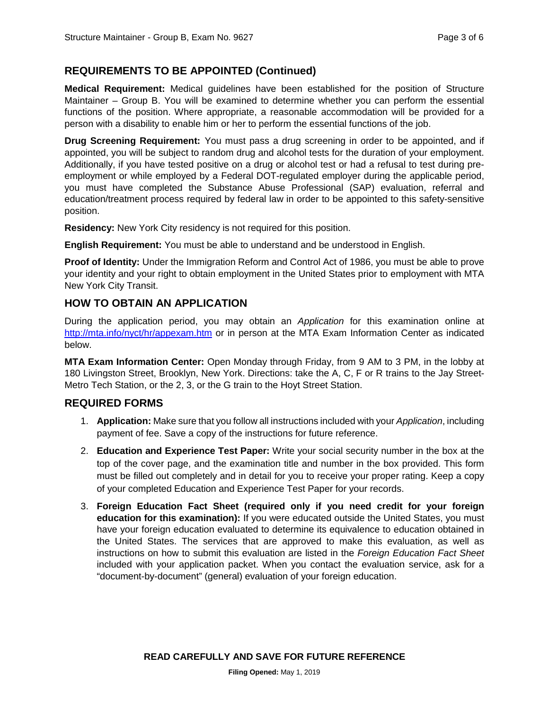# **REQUIREMENTS TO BE APPOINTED (Continued)**

**Medical Requirement:** Medical guidelines have been established for the position of Structure Maintainer – Group B. You will be examined to determine whether you can perform the essential functions of the position. Where appropriate, a reasonable accommodation will be provided for a person with a disability to enable him or her to perform the essential functions of the job.

**Drug Screening Requirement:** You must pass a drug screening in order to be appointed, and if appointed, you will be subject to random drug and alcohol tests for the duration of your employment. Additionally, if you have tested positive on a drug or alcohol test or had a refusal to test during preemployment or while employed by a Federal DOT-regulated employer during the applicable period, you must have completed the Substance Abuse Professional (SAP) evaluation, referral and education/treatment process required by federal law in order to be appointed to this safety-sensitive position.

**Residency:** New York City residency is not required for this position.

**English Requirement:** You must be able to understand and be understood in English.

**Proof of Identity:** Under the Immigration Reform and Control Act of 1986, you must be able to prove your identity and your right to obtain employment in the United States prior to employment with MTA New York City Transit.

#### **HOW TO OBTAIN AN APPLICATION**

During the application period, you may obtain an *Application* for this examination online at <http://mta.info/nyct/hr/appexam.htm> or in person at the MTA Exam Information Center as indicated below.

**MTA Exam Information Center:** Open Monday through Friday, from 9 AM to 3 PM, in the lobby at 180 Livingston Street, Brooklyn, New York. Directions: take the A, C, F or R trains to the Jay Street-Metro Tech Station, or the 2, 3, or the G train to the Hoyt Street Station.

#### **REQUIRED FORMS**

- 1. **Application:** Make sure that you follow all instructions included with your *Application*, including payment of fee. Save a copy of the instructions for future reference.
- 2. **Education and Experience Test Paper:** Write your social security number in the box at the top of the cover page, and the examination title and number in the box provided. This form must be filled out completely and in detail for you to receive your proper rating. Keep a copy of your completed Education and Experience Test Paper for your records.
- 3. **Foreign Education Fact Sheet (required only if you need credit for your foreign education for this examination):** If you were educated outside the United States, you must have your foreign education evaluated to determine its equivalence to education obtained in the United States. The services that are approved to make this evaluation, as well as instructions on how to submit this evaluation are listed in the *Foreign Education Fact Sheet* included with your application packet. When you contact the evaluation service, ask for a "document-by-document" (general) evaluation of your foreign education.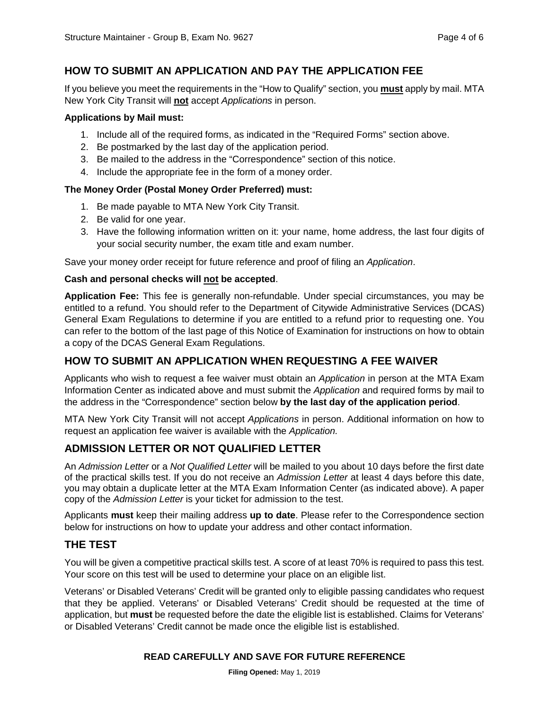# **HOW TO SUBMIT AN APPLICATION AND PAY THE APPLICATION FEE**

If you believe you meet the requirements in the "How to Qualify" section, you **must** apply by mail. MTA New York City Transit will **not** accept *Applications* in person.

#### **Applications by Mail must:**

- 1. Include all of the required forms, as indicated in the "Required Forms" section above.
- 2. Be postmarked by the last day of the application period.
- 3. Be mailed to the address in the "Correspondence" section of this notice.
- 4. Include the appropriate fee in the form of a money order.

#### **The Money Order (Postal Money Order Preferred) must:**

- 1. Be made payable to MTA New York City Transit.
- 2. Be valid for one year.
- 3. Have the following information written on it: your name, home address, the last four digits of your social security number, the exam title and exam number.

Save your money order receipt for future reference and proof of filing an *Application*.

#### **Cash and personal checks will not be accepted**.

**Application Fee:** This fee is generally non-refundable. Under special circumstances, you may be entitled to a refund. You should refer to the Department of Citywide Administrative Services (DCAS) General Exam Regulations to determine if you are entitled to a refund prior to requesting one. You can refer to the bottom of the last page of this Notice of Examination for instructions on how to obtain a copy of the DCAS General Exam Regulations.

#### **HOW TO SUBMIT AN APPLICATION WHEN REQUESTING A FEE WAIVER**

Applicants who wish to request a fee waiver must obtain an *Application* in person at the MTA Exam Information Center as indicated above and must submit the *Application* and required forms by mail to the address in the "Correspondence" section below **by the last day of the application period**.

MTA New York City Transit will not accept *Applications* in person. Additional information on how to request an application fee waiver is available with the *Application.*

# **ADMISSION LETTER OR NOT QUALIFIED LETTER**

An *Admission Letter* or a *Not Qualified Letter* will be mailed to you about 10 days before the first date of the practical skills test. If you do not receive an *Admission Letter* at least 4 days before this date, you may obtain a duplicate letter at the MTA Exam Information Center (as indicated above). A paper copy of the *Admission Letter* is your ticket for admission to the test.

Applicants **must** keep their mailing address **up to date**. Please refer to the Correspondence section below for instructions on how to update your address and other contact information.

#### **THE TEST**

You will be given a competitive practical skills test. A score of at least 70% is required to pass this test. Your score on this test will be used to determine your place on an eligible list.

Veterans' or Disabled Veterans' Credit will be granted only to eligible passing candidates who request that they be applied. Veterans' or Disabled Veterans' Credit should be requested at the time of application, but **must** be requested before the date the eligible list is established. Claims for Veterans' or Disabled Veterans' Credit cannot be made once the eligible list is established.

#### **READ CAREFULLY AND SAVE FOR FUTURE REFERENCE**

**Filing Opened:** May 1, 2019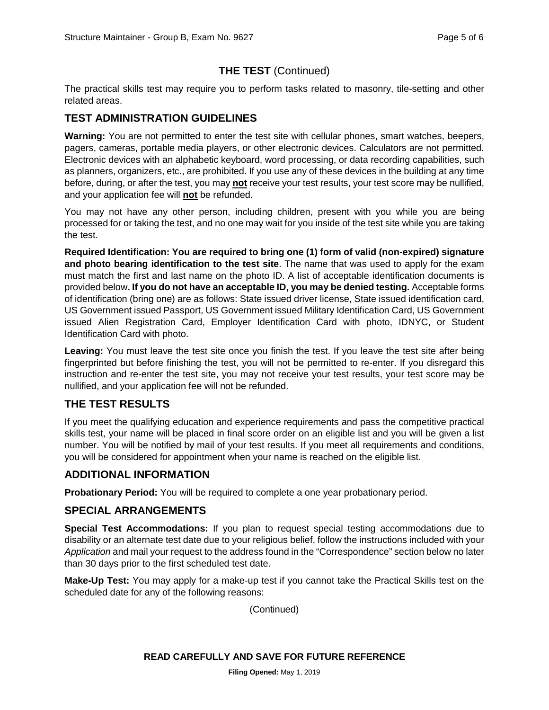# **THE TEST** (Continued)

The practical skills test may require you to perform tasks related to masonry, tile-setting and other related areas.

#### **TEST ADMINISTRATION GUIDELINES**

**Warning:** You are not permitted to enter the test site with cellular phones, smart watches, beepers, pagers, cameras, portable media players, or other electronic devices. Calculators are not permitted. Electronic devices with an alphabetic keyboard, word processing, or data recording capabilities, such as planners, organizers, etc., are prohibited. If you use any of these devices in the building at any time before, during, or after the test, you may **not** receive your test results, your test score may be nullified, and your application fee will **not** be refunded.

You may not have any other person, including children, present with you while you are being processed for or taking the test, and no one may wait for you inside of the test site while you are taking the test.

**Required Identification: You are required to bring one (1) form of valid (non-expired) signature and photo bearing identification to the test site**. The name that was used to apply for the exam must match the first and last name on the photo ID. A list of acceptable identification documents is provided below**. If you do not have an acceptable ID, you may be denied testing.** Acceptable forms of identification (bring one) are as follows: State issued driver license, State issued identification card, US Government issued Passport, US Government issued Military Identification Card, US Government issued Alien Registration Card, Employer Identification Card with photo, IDNYC, or Student Identification Card with photo.

**Leaving:** You must leave the test site once you finish the test. If you leave the test site after being fingerprinted but before finishing the test, you will not be permitted to re-enter. If you disregard this instruction and re-enter the test site, you may not receive your test results, your test score may be nullified, and your application fee will not be refunded.

#### **THE TEST RESULTS**

If you meet the qualifying education and experience requirements and pass the competitive practical skills test, your name will be placed in final score order on an eligible list and you will be given a list number. You will be notified by mail of your test results. If you meet all requirements and conditions, you will be considered for appointment when your name is reached on the eligible list.

#### **ADDITIONAL INFORMATION**

**Probationary Period:** You will be required to complete a one year probationary period.

#### **SPECIAL ARRANGEMENTS**

**Special Test Accommodations:** If you plan to request special testing accommodations due to disability or an alternate test date due to your religious belief, follow the instructions included with your *Application* and mail your request to the address found in the "Correspondence" section below no later than 30 days prior to the first scheduled test date.

**Make-Up Test:** You may apply for a make-up test if you cannot take the Practical Skills test on the scheduled date for any of the following reasons:

(Continued)